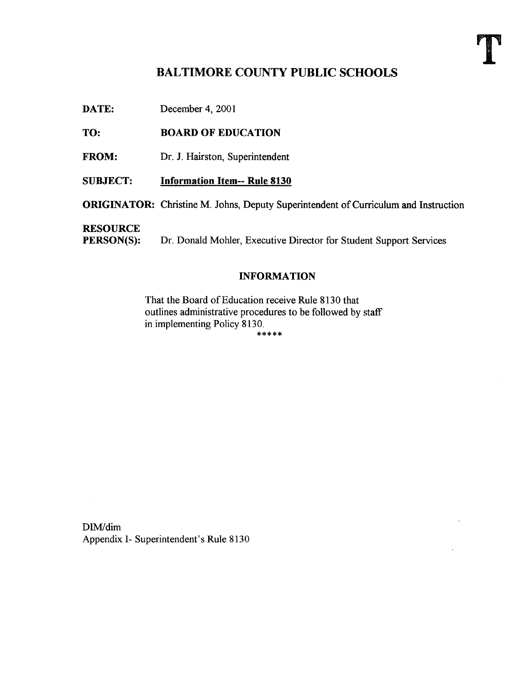# BALTIMORE COUNTY PUBLIC SCHOOLS

DATE: December 4, 2001

### TO: BOARD OF EDUCATION

FROM: Dr. J. Hairston, Superintendent

SUBJECT: Information Item-- Rule 8130

ORIGINATOR: Christine M. Johns, Deputy Superintendent of Curriculum and Instruction

**RESOURCE**<br>PERSON(S):

Dr. Donald Mohler, Executive Director for Student Support Services

#### INFORMATION

That the Board of Education receive Rule 8130 that outlines administrative procedures to be followed by staff in implementing Policy 8130.

DIM/dim Appendix I- Superintendent's Rule 8130